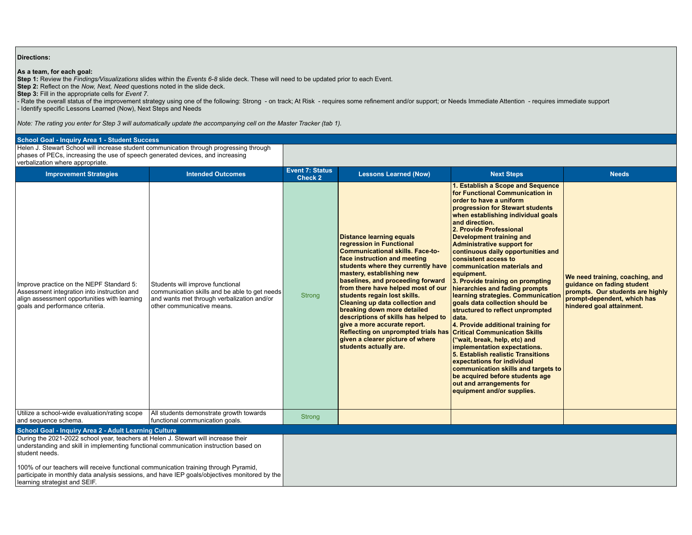## **Directions:**

## **As a team, for each goal:**

**Step 1:** Review the *Findings/Visualizations* slides within the *Events 6-8* slide deck. These will need to be updated prior to each Event.

**Step 2:** Reflect on the *Now, Next, Need* questions noted in the slide deck.

**Step 3:** Fill in the appropriate cells for *Event 7*.

**- Rate the overall status of the improvement strategy using one of the following: Strong - on track; At Risk - requires some refinement and/or support; or Needs Immediate Attention - requires immediate support - requires** - Identify specific Lessons Learned (Now), Next Steps and Needs

*Note: The rating you enter for Step 3 will automatically update the accompanying cell on the Master Tracker (tab 1).*

| <b>School Goal - Inquiry Area 1 - Student Success</b>                                                                                                                                                                  |                                                                                                                                                               |                                   |                                                                                                                                                                                                                                                                                                                                                                                                                                                                                                                                                                     |                                                                                                                                                                                                                                                                                                                                                                                                                                                                                                                                                                                                                                                                                                                                                                                                                                                                                                                                                        |                                                                                                                                                               |  |  |  |
|------------------------------------------------------------------------------------------------------------------------------------------------------------------------------------------------------------------------|---------------------------------------------------------------------------------------------------------------------------------------------------------------|-----------------------------------|---------------------------------------------------------------------------------------------------------------------------------------------------------------------------------------------------------------------------------------------------------------------------------------------------------------------------------------------------------------------------------------------------------------------------------------------------------------------------------------------------------------------------------------------------------------------|--------------------------------------------------------------------------------------------------------------------------------------------------------------------------------------------------------------------------------------------------------------------------------------------------------------------------------------------------------------------------------------------------------------------------------------------------------------------------------------------------------------------------------------------------------------------------------------------------------------------------------------------------------------------------------------------------------------------------------------------------------------------------------------------------------------------------------------------------------------------------------------------------------------------------------------------------------|---------------------------------------------------------------------------------------------------------------------------------------------------------------|--|--|--|
| Helen J. Stewart School will increase student communication through progressing through<br>phases of PECs, increasing the use of speech generated devices, and increasing                                              |                                                                                                                                                               |                                   |                                                                                                                                                                                                                                                                                                                                                                                                                                                                                                                                                                     |                                                                                                                                                                                                                                                                                                                                                                                                                                                                                                                                                                                                                                                                                                                                                                                                                                                                                                                                                        |                                                                                                                                                               |  |  |  |
| verbalization where appropriate.                                                                                                                                                                                       |                                                                                                                                                               |                                   |                                                                                                                                                                                                                                                                                                                                                                                                                                                                                                                                                                     |                                                                                                                                                                                                                                                                                                                                                                                                                                                                                                                                                                                                                                                                                                                                                                                                                                                                                                                                                        |                                                                                                                                                               |  |  |  |
| <b>Improvement Strategies</b>                                                                                                                                                                                          | <b>Intended Outcomes</b>                                                                                                                                      | <b>Event 7: Status</b><br>Check 2 | <b>Lessons Learned (Now)</b>                                                                                                                                                                                                                                                                                                                                                                                                                                                                                                                                        | <b>Next Steps</b>                                                                                                                                                                                                                                                                                                                                                                                                                                                                                                                                                                                                                                                                                                                                                                                                                                                                                                                                      | <b>Needs</b>                                                                                                                                                  |  |  |  |
| Improve practice on the NEPF Standard 5:<br>Assessment integration into instruction and<br>align assessment opportunities with learning<br>goals and performance criteria.                                             | Students will improve functional<br>communication skills and be able to get needs<br>and wants met through verbalization and/or<br>other communicative means. | Strong                            | <b>Distance learning equals</b><br>regression in Functional<br><b>Communicational skills. Face-to-</b><br>face instruction and meeting<br>students where they currently have<br>mastery, establishing new<br>baselines, and proceeding forward<br>from there have helped most of our<br>students regain lost skills.<br>Cleaning up data collection and<br>breaking down more detailed<br>descriptions of skills has helped to<br>give a more accurate report.<br>Reflecting on unprompted trials has<br>given a clearer picture of where<br>students actually are. | 1. Establish a Scope and Sequence<br>for Functional Communication in<br>order to have a uniform<br>progression for Stewart students<br>when establishing individual goals<br>and direction.<br>2. Provide Professional<br><b>Development training and</b><br>Administrative support for<br>continuous daily opportunities and<br>consistent access to<br>communication materials and<br>equipment.<br>3. Provide training on prompting<br>hierarchies and fading prompts<br>learning strategies. Communication<br>goals data collection should be<br>structured to reflect unprompted<br>data.<br>4. Provide additional training for<br><b>Critical Communication Skills</b><br>("wait, break, help, etc) and<br>implementation expectations.<br>5. Establish realistic Transitions<br>expectations for individual<br>communication skills and targets to<br>be acquired before students age<br>out and arrangements for<br>equipment and/or supplies. | We need training, coaching, and<br>quidance on fading student<br>prompts. Our students are highly<br>prompt-dependent, which has<br>hindered goal attainment. |  |  |  |
| Utilize a school-wide evaluation/rating scope<br>and sequence schema.                                                                                                                                                  | All students demonstrate growth towards<br>functional communication goals.                                                                                    | <b>Strong</b>                     |                                                                                                                                                                                                                                                                                                                                                                                                                                                                                                                                                                     |                                                                                                                                                                                                                                                                                                                                                                                                                                                                                                                                                                                                                                                                                                                                                                                                                                                                                                                                                        |                                                                                                                                                               |  |  |  |
| School Goal - Inquiry Area 2 - Adult Learning Culture                                                                                                                                                                  |                                                                                                                                                               |                                   |                                                                                                                                                                                                                                                                                                                                                                                                                                                                                                                                                                     |                                                                                                                                                                                                                                                                                                                                                                                                                                                                                                                                                                                                                                                                                                                                                                                                                                                                                                                                                        |                                                                                                                                                               |  |  |  |
| During the 2021-2022 school year, teachers at Helen J. Stewart will increase their<br>understanding and skill in implementing functional communication instruction based on<br>student needs.                          |                                                                                                                                                               |                                   |                                                                                                                                                                                                                                                                                                                                                                                                                                                                                                                                                                     |                                                                                                                                                                                                                                                                                                                                                                                                                                                                                                                                                                                                                                                                                                                                                                                                                                                                                                                                                        |                                                                                                                                                               |  |  |  |
| 100% of our teachers will receive functional communication training through Pyramid,<br>participate in monthly data analysis sessions, and have IEP goals/objectives monitored by the<br>learning strategist and SEIF. |                                                                                                                                                               |                                   |                                                                                                                                                                                                                                                                                                                                                                                                                                                                                                                                                                     |                                                                                                                                                                                                                                                                                                                                                                                                                                                                                                                                                                                                                                                                                                                                                                                                                                                                                                                                                        |                                                                                                                                                               |  |  |  |